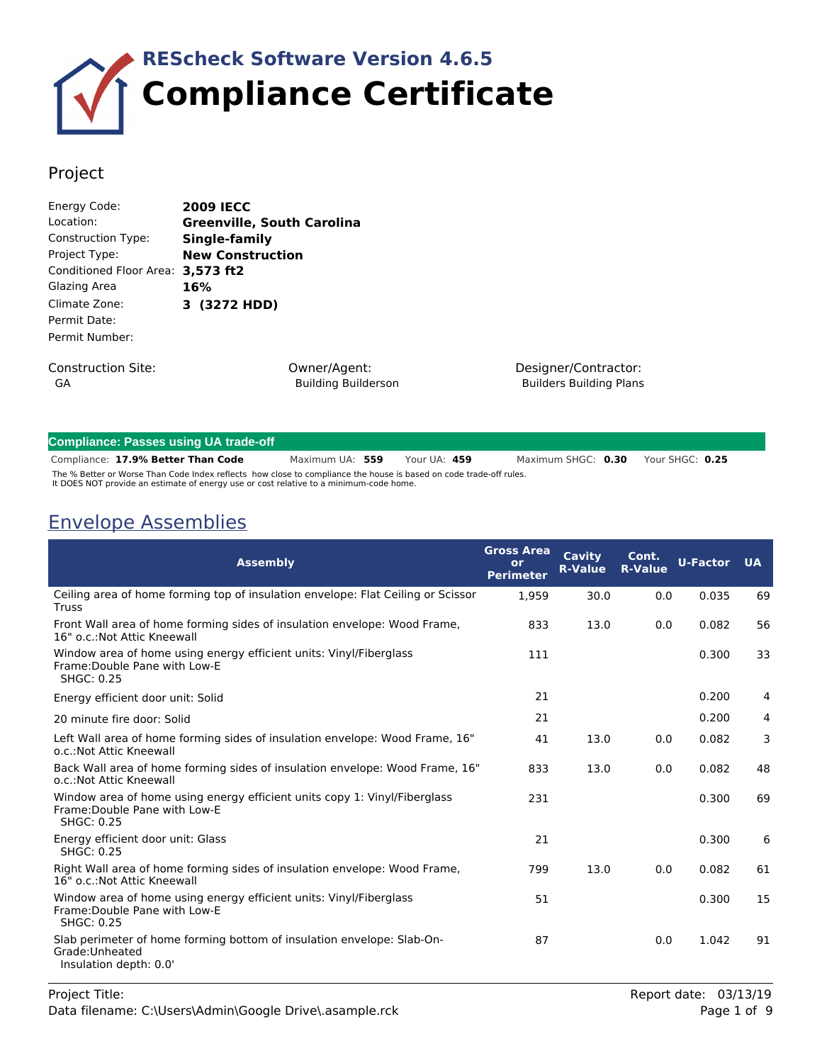

### Project

| Energy Code:             | <b>2009 IECC</b>                       |
|--------------------------|----------------------------------------|
| Location:                | <b>Greenville, South Carolina</b>      |
| Construction Type:       | Single-family                          |
| Project Type:            | <b>New Construction</b>                |
| Conditioned Floor Area:  | 3,573 ft2                              |
| Glazing Area             | 16%                                    |
| Climate Zone:            | 3 (3272 HDD)                           |
| Permit Date:             |                                        |
| Permit Number:           |                                        |
| Construction Site:<br>GA | Owner/Agent:<br><b>Building Builde</b> |

Building Builderson

Designer/Contractor: Builders Building Plans

| Compliance: Passes using UA trade-off                                                                                                                                                                        |                 |  |              |                    |  |                 |
|--------------------------------------------------------------------------------------------------------------------------------------------------------------------------------------------------------------|-----------------|--|--------------|--------------------|--|-----------------|
| Compliance: 17.9% Better Than Code                                                                                                                                                                           | Maximum UA: 559 |  | Your UA: 459 | Maximum SHGC: 0.30 |  | Your SHGC: 0.25 |
| The % Better or Worse Than Code Index reflects how close to compliance the house is based on code trade-off rules.<br>It DOES NOT provide an estimate of energy use or cost relative to a minimum-code home. |                 |  |              |                    |  |                 |

## Envelope Assemblies

| <b>Assembly</b>                                                                                                                 | <b>Gross Area</b><br>or<br><b>Perimeter</b> | Cavity<br><b>R-Value</b> | Cont.<br><b>R-Value</b> | <b>U-Factor</b> | <b>UA</b> |
|---------------------------------------------------------------------------------------------------------------------------------|---------------------------------------------|--------------------------|-------------------------|-----------------|-----------|
| Ceiling area of home forming top of insulation envelope: Flat Ceiling or Scissor<br><b>Truss</b>                                | 1,959                                       | 30.0                     | 0.0                     | 0.035           | 69        |
| Front Wall area of home forming sides of insulation envelope: Wood Frame,<br>16" o.c.: Not Attic Kneewall                       | 833                                         | 13.0                     | 0.0                     | 0.082           | 56        |
| Window area of home using energy efficient units: Vinyl/Fiberglass<br>Frame: Double Pane with Low-E<br><b>SHGC: 0.25</b>        | 111                                         |                          |                         | 0.300           | 33        |
| Energy efficient door unit: Solid                                                                                               | 21                                          |                          |                         | 0.200           | 4         |
| 20 minute fire door: Solid                                                                                                      | 21                                          |                          |                         | 0.200           | 4         |
| Left Wall area of home forming sides of insulation envelope: Wood Frame, 16"<br>o.c.:Not Attic Kneewall                         | 41                                          | 13.0                     | 0.0                     | 0.082           | 3         |
| Back Wall area of home forming sides of insulation envelope: Wood Frame, 16"<br>o.c.: Not Attic Kneewall                        | 833                                         | 13.0                     | 0.0                     | 0.082           | 48        |
| Window area of home using energy efficient units copy 1: Vinyl/Fiberglass<br>Frame: Double Pane with Low-E<br><b>SHGC: 0.25</b> | 231                                         |                          |                         | 0.300           | 69        |
| Energy efficient door unit: Glass<br><b>SHGC: 0.25</b>                                                                          | 21                                          |                          |                         | 0.300           | 6         |
| Right Wall area of home forming sides of insulation envelope: Wood Frame,<br>16" o.c.: Not Attic Kneewall                       | 799                                         | 13.0                     | 0.0                     | 0.082           | 61        |
| Window area of home using energy efficient units: Vinyl/Fiberglass<br>Frame: Double Pane with Low-E<br><b>SHGC: 0.25</b>        | 51                                          |                          |                         | 0.300           | 15        |
| Slab perimeter of home forming bottom of insulation envelope: Slab-On-<br>Grade: Unheated<br>Insulation depth: 0.0'             | 87                                          |                          | 0.0                     | 1.042           | 91        |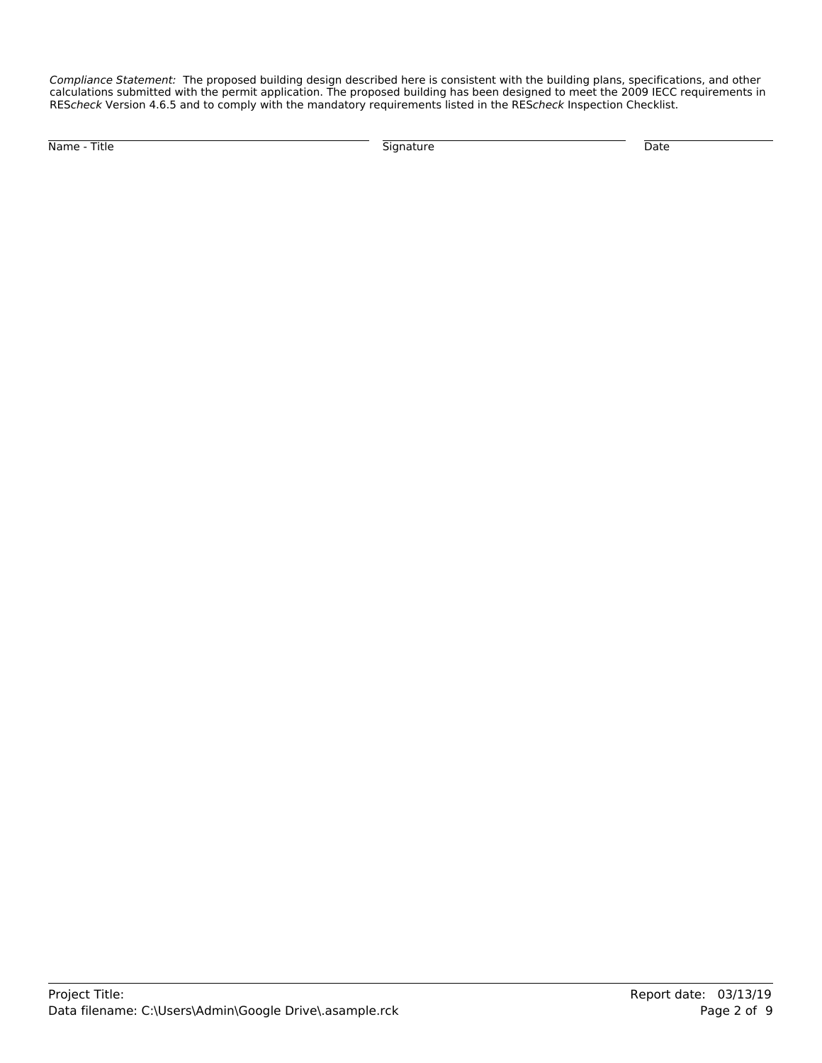*Compliance Statement:* The proposed building design described here is consistent with the building plans, specifications, and other calculations submitted with the permit application. The proposed building has been designed to meet the 2009 IECC requirements in RES*check* Version 4.6.5 and to comply with the mandatory requirements listed in the RES*check* Inspection Checklist.

Name - Title Signature Date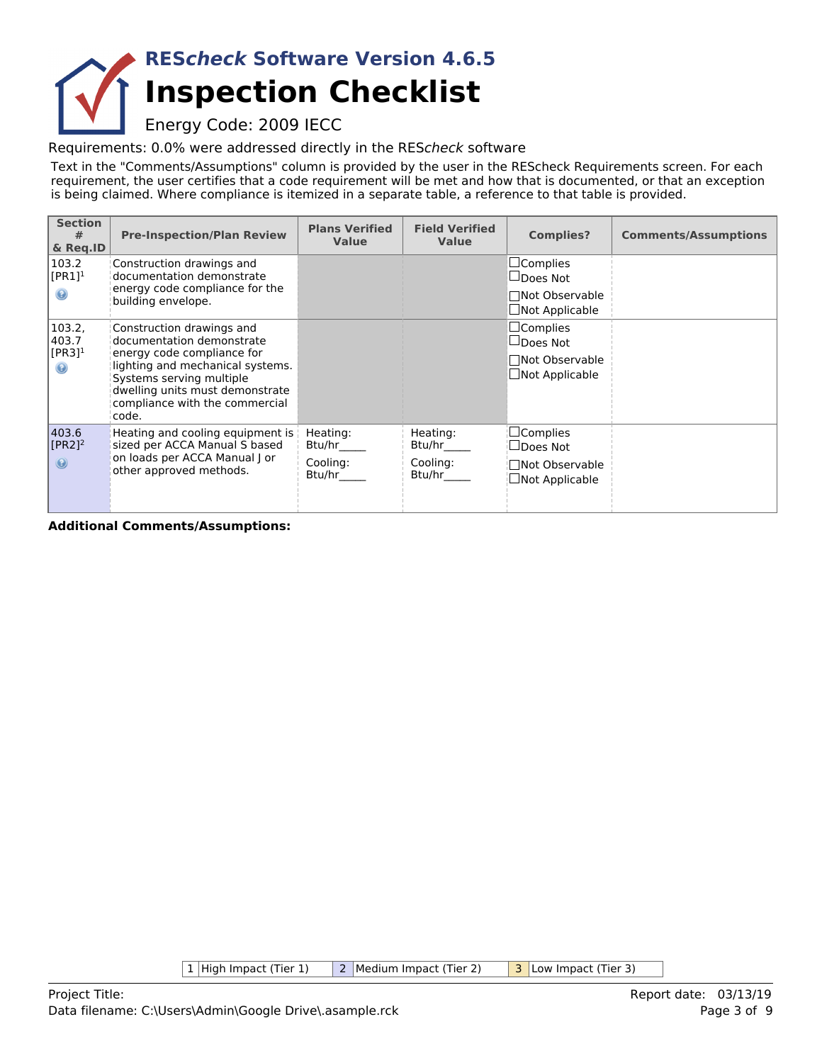## **Inspection Checklist RES***check* **Software Version 4.6.5**

## Energy Code: 2009 IECC

Requirements: 0.0% were addressed directly in the RES*check* software

Text in the "Comments/Assumptions" column is provided by the user in the REScheck Requirements screen. For each requirement, the user certifies that a code requirement will be met and how that is documented, or that an exception is being claimed. Where compliance is itemized in a separate table, a reference to that table is provided.

| <b>Section</b><br>#<br>& Reg.ID                          | <b>Pre-Inspection/Plan Review</b>                                                                                                                                                                                                  | <b>Plans Verified</b><br><b>Value</b>    | <b>Field Verified</b><br><b>Value</b>    | <b>Complies?</b>                                                                 | <b>Comments/Assumptions</b> |
|----------------------------------------------------------|------------------------------------------------------------------------------------------------------------------------------------------------------------------------------------------------------------------------------------|------------------------------------------|------------------------------------------|----------------------------------------------------------------------------------|-----------------------------|
| 103.2<br>$[PR1]^1$<br>◉                                  | Construction drawings and<br>documentation demonstrate<br>energy code compliance for the                                                                                                                                           |                                          |                                          | $\Box$ Complies<br>$\Box$ Does Not<br>□Not Observable                            |                             |
|                                                          | building envelope.                                                                                                                                                                                                                 |                                          |                                          | $\Box$ Not Applicable                                                            |                             |
| 103.2,<br>403.7<br>$[PR3]$ <sup>1</sup><br>$\circledast$ | Construction drawings and<br>documentation demonstrate<br>energy code compliance for<br>lighting and mechanical systems.<br>Systems serving multiple<br>dwelling units must demonstrate<br>compliance with the commercial<br>code. |                                          |                                          | $\sqcup$ Complies<br>$\Box$ Does Not<br>□Not Observable<br>$\Box$ Not Applicable |                             |
| 403.6<br>$[PR2]$ <sup>2</sup><br>$\circledcirc$          | Heating and cooling equipment is<br>sized per ACCA Manual S based<br>on loads per ACCA Manual J or<br>other approved methods.                                                                                                      | Heating:<br>Btu/hr<br>Cooling:<br>Btu/hr | Heating:<br>Btu/hr<br>Cooling:<br>Btu/hr | $\Box$ Complies<br>$\Box$ Does Not<br>□Not Observable<br>$\Box$ Not Applicable   |                             |

**Additional Comments/Assumptions:**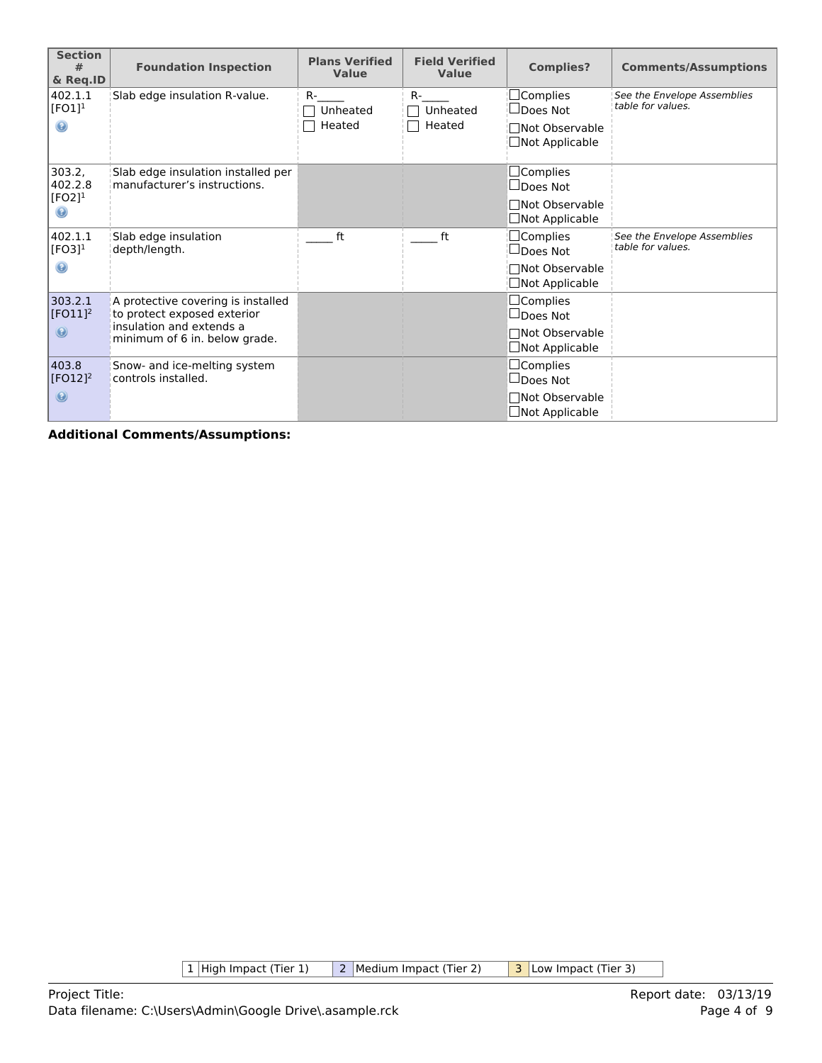| <b>Section</b><br>#<br>& Req.ID                             | <b>Foundation Inspection</b>                                                                                                   | <b>Plans Verified</b><br>Value | <b>Field Verified</b><br>Value  | <b>Complies?</b>                                                                     | <b>Comments/Assumptions</b>                      |
|-------------------------------------------------------------|--------------------------------------------------------------------------------------------------------------------------------|--------------------------------|---------------------------------|--------------------------------------------------------------------------------------|--------------------------------------------------|
| 402.1.1<br>$[FO1]$ <sup>1</sup><br>$_{\odot}$               | Slab edge insulation R-value.                                                                                                  | $R -$<br>Unheated<br>Heated    | <b>R-</b><br>Unheated<br>Heated | $\Box$ Complies<br>$\Box$ Does Not<br><b>Not Observable</b><br>$\Box$ Not Applicable | See the Envelope Assemblies<br>table for values. |
| 303.2,<br>402.2.8<br>$[FO2]$ <sup>1</sup><br>$\circledcirc$ | Slab edge insulation installed per<br>manufacturer's instructions.                                                             |                                |                                 | $\Box$ Complies<br>$\Box$ Does Not<br>□Not Observable<br>$\Box$ Not Applicable       |                                                  |
| 402.1.1<br>$[FO3]$ <sup>1</sup><br>◉                        | Slab edge insulation<br>depth/length.                                                                                          | ft                             | ft                              | $\Box$ Complies<br>$\Box$ Does Not<br>□Not Observable<br>$\Box$ Not Applicable       | See the Envelope Assemblies<br>table for values. |
| 303.2.1<br>$[FO11]^{2}$<br>$\circledcirc$                   | A protective covering is installed<br>to protect exposed exterior<br>insulation and extends a<br>minimum of 6 in. below grade. |                                |                                 | $\Box$ Complies<br>$\Box$ Does Not<br>□Not Observable<br>$\Box$ Not Applicable       |                                                  |
| 403.8<br>$[FO12]$ <sup>2</sup><br>$\circledcirc$            | Snow- and ice-melting system<br>controls installed.                                                                            |                                |                                 | $\Box$ Complies<br>$\Box$ Does Not<br>□Not Observable<br>$\Box$ Not Applicable       |                                                  |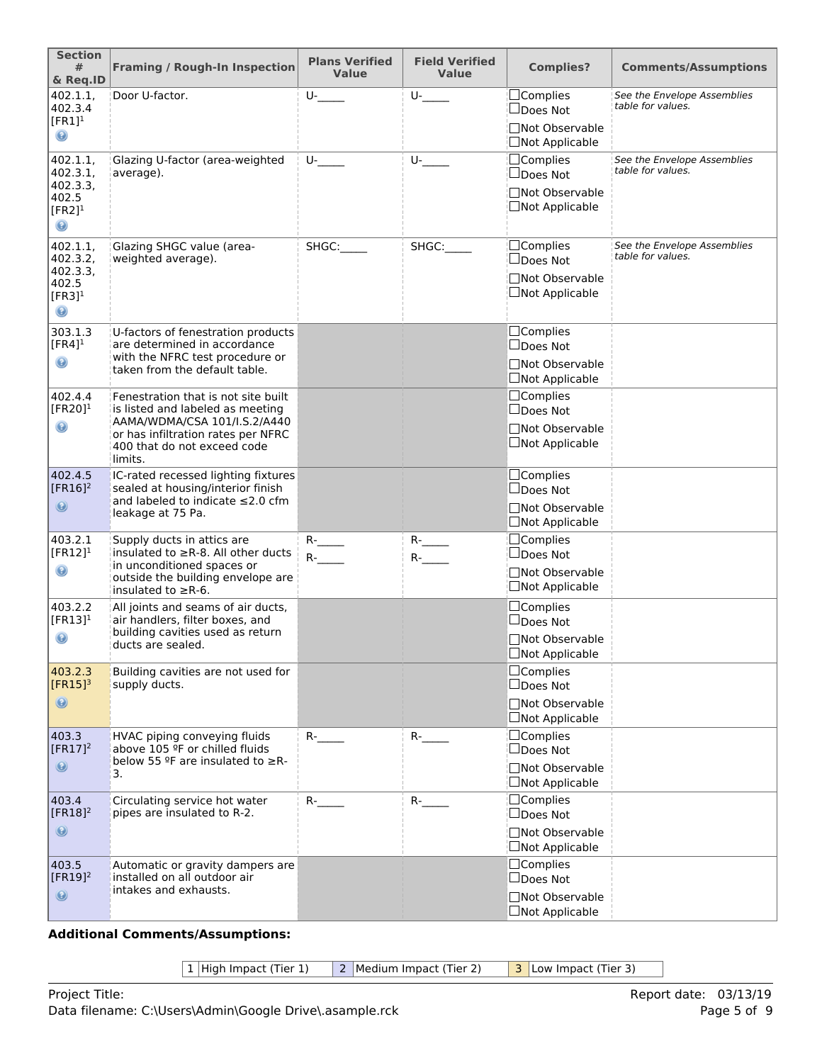| <b>Section</b><br>#<br>& Req.ID                                                       | <b>Framing / Rough-In Inspection</b>                                                                                                                                                    | <b>Plans Verified</b><br><b>Value</b> | <b>Field Verified</b><br><b>Value</b> | <b>Complies?</b>                                                               | <b>Comments/Assumptions</b>                      |
|---------------------------------------------------------------------------------------|-----------------------------------------------------------------------------------------------------------------------------------------------------------------------------------------|---------------------------------------|---------------------------------------|--------------------------------------------------------------------------------|--------------------------------------------------|
| 402.1.1,<br>402.3.4<br>$[FR1]$ <sup>1</sup><br>$_{\odot}$                             | Door U-factor.                                                                                                                                                                          | $U$ -                                 | $U$ -                                 | $\Box$ Complies<br>□Does Not<br>□Not Observable<br>□Not Applicable             | See the Envelope Assemblies<br>table for values. |
| 402.1.1,<br>402.3.1,<br>402.3.3,<br>402.5<br>[ $FR2$ ] <sup>1</sup><br>$\circledcirc$ | Glazing U-factor (area-weighted<br>average).                                                                                                                                            | U-                                    | U-                                    | $\Box$ Complies<br>□Does Not<br>□Not Observable<br>□Not Applicable             | See the Envelope Assemblies<br>table for values. |
| 402.1.1,<br>402.3.2,<br>402.3.3,<br>402.5<br>$[FR3]$ <sup>1</sup><br>$\circledast$    | Glazing SHGC value (area-<br>weighted average).                                                                                                                                         | SHGC:                                 | SHGC:                                 | $\Box$ Complies<br>$\Box$ Does Not<br>□Not Observable<br>□Not Applicable       | See the Envelope Assemblies<br>table for values. |
| 303.1.3<br>$[FR4]$ <sup>1</sup><br>$\mathbf \Theta$                                   | U-factors of fenestration products<br>are determined in accordance<br>with the NFRC test procedure or<br>taken from the default table.                                                  |                                       |                                       | □Complies<br>$\Box$ Does Not<br>□Not Observable<br>$\Box$ Not Applicable       |                                                  |
| 402.4.4<br>[FR20] $1$<br>$_{\odot}$                                                   | Fenestration that is not site built<br>is listed and labeled as meeting<br>AAMA/WDMA/CSA 101/I.S.2/A440<br>or has infiltration rates per NFRC<br>400 that do not exceed code<br>limits. |                                       |                                       | $\Box$ Complies<br>$\Box$ Does Not<br>□Not Observable<br>$\Box$ Not Applicable |                                                  |
| 402.4.5<br>$[FR16]^2$<br>$\circledcirc$                                               | IC-rated recessed lighting fixtures<br>sealed at housing/interior finish<br>and labeled to indicate ≤2.0 cfm<br>leakage at 75 Pa.                                                       |                                       |                                       | □Complies<br>$\Box$ Does Not<br>□Not Observable<br>$\Box$ Not Applicable       |                                                  |
| 403.2.1<br>$[FR12]$ <sup>1</sup><br>$\circledast$                                     | Supply ducts in attics are<br>insulated to $\geq$ R-8. All other ducts<br>in unconditioned spaces or<br>outside the building envelope are<br>insulated to $\geq$ R-6.                   | $R$ -<br>$R$ - $\qquad$               | $R$ - $\qquad$<br>$R$ - $\qquad$      | <b>Complies</b><br>$\Box$ Does Not<br>Not Observable<br>$\Box$ Not Applicable  |                                                  |
| 403.2.2<br>$[FR13]$ <sup>1</sup><br>$\circledast$                                     | All joints and seams of air ducts,<br>air handlers, filter boxes, and<br>building cavities used as return<br>ducts are sealed.                                                          |                                       |                                       | $\Box$ Complies<br>$\Box$ Does Not<br>□Not Observable<br>□Not Applicable       |                                                  |
| 403.2.3<br>$[FR15]$ <sup>3</sup><br>$\circledcirc$                                    | Building cavities are not used for<br>supply ducts.                                                                                                                                     |                                       |                                       | $\Box$ Complies<br>$\Box$ Does Not<br>□Not Observable<br>□Not Applicable       |                                                  |
| 403.3<br>$[FR17]^2$<br>$\circledcirc$                                                 | HVAC piping conveying fluids<br>above 105 ºF or chilled fluids<br>below 55 °F are insulated to $\geq$ R-<br>3.                                                                          | $R -$                                 | $R -$                                 | □Complies<br>□Does Not<br>□Not Observable<br>$\Box$ Not Applicable             |                                                  |
| 403.4<br>$[FR18]^2$<br>$\odot$                                                        | Circulating service hot water<br>pipes are insulated to R-2.                                                                                                                            | $R -$                                 | $R -$                                 | $\Box$ Complies<br>$\Box$ Does Not<br>□Not Observable<br>□Not Applicable       |                                                  |
| 403.5<br>$[FR19]$ <sup>2</sup><br>$\circledcirc$                                      | Automatic or gravity dampers are<br>installed on all outdoor air<br>intakes and exhausts.                                                                                               |                                       |                                       | $\Box$ Complies<br>$\Box$ Does Not<br>□Not Observable<br>□Not Applicable       |                                                  |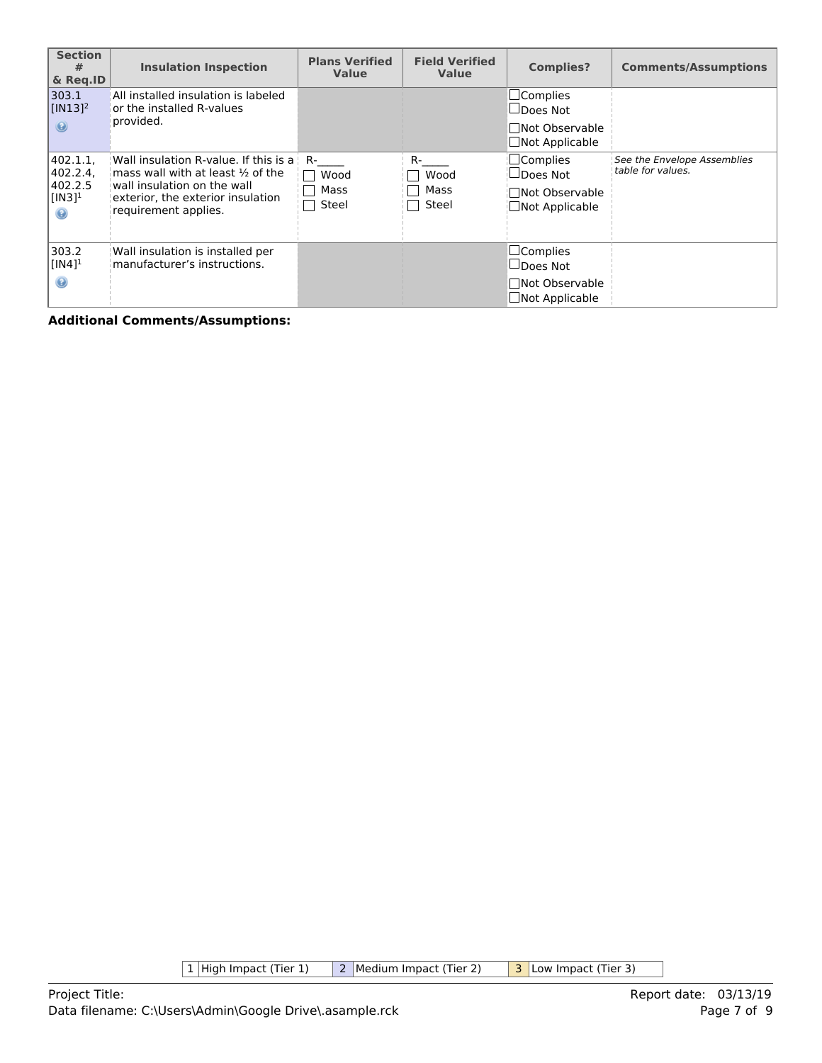| <b>Section</b><br>#<br>& Reg.ID                                          | <b>Insulation Inspection</b>                                                                                                                                                                               | <b>Plans Verified</b><br><b>Value</b> | <b>Field Verified</b><br>Value | <b>Complies?</b>                                                               | <b>Comments/Assumptions</b>                      |
|--------------------------------------------------------------------------|------------------------------------------------------------------------------------------------------------------------------------------------------------------------------------------------------------|---------------------------------------|--------------------------------|--------------------------------------------------------------------------------|--------------------------------------------------|
| 303.1<br>$[IN13]$ <sup>2</sup><br>$\odot$                                | All installed insulation is labeled<br>or the installed R-values<br>provided.                                                                                                                              |                                       |                                | $\Box$ Complies<br>∐Does Not<br><b>Not Observable</b><br>□Not Applicable       |                                                  |
| 402.1.1.<br>402.2.4,<br>402.2.5<br>$[IN3]$ <sup>1</sup><br>$\circledast$ | Wall insulation R-value. If this is a<br>mass wall with at least $\frac{1}{2}$ of the<br>$\overline{\phantom{a}}$ wall insulation on the wall<br>exterior, the exterior insulation<br>requirement applies. | R-<br>Wood<br>Mass<br>Steel           | R-<br>Wood<br>Mass<br>Steel    | $\Box$ Complies<br>$\Box$ Does Not<br>□Not Observable<br>$\Box$ Not Applicable | See the Envelope Assemblies<br>table for values. |
| 303.2<br>$[IN4]$ <sup>1</sup><br>◉                                       | Wall insulation is installed per<br>manufacturer's instructions.                                                                                                                                           |                                       |                                | $\Box$ Complies<br>□Does Not<br><b>Not Observable</b><br>□Not Applicable       |                                                  |

 $\boxed{1}$  High Impact (Tier 1)  $\boxed{2}$  Medium Impact (Tier 2)  $\boxed{3}$  Low Impact (Tier 3)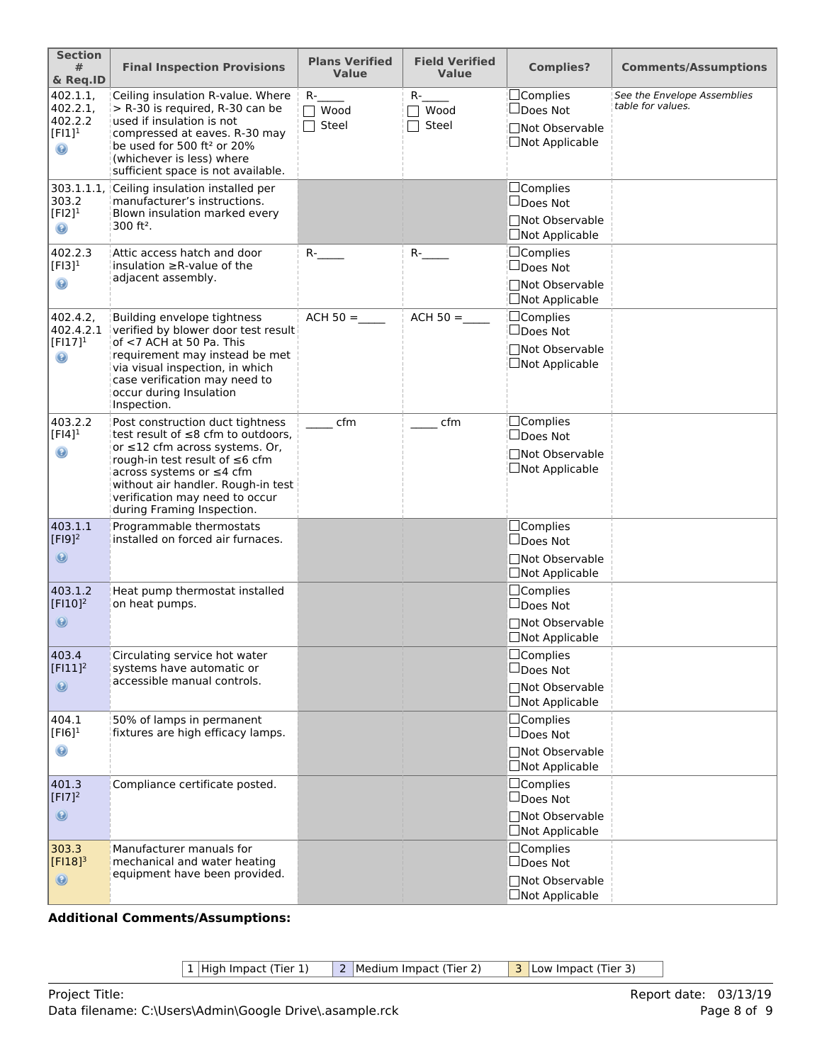| <b>Section</b><br>#<br>& Req.ID                           | <b>Final Inspection Provisions</b>                                                                                                                                                                                                                                                 | <b>Plans Verified</b><br><b>Value</b>      | <b>Field Verified</b><br><b>Value</b> | <b>Complies?</b>                                                         | <b>Comments/Assumptions</b>                      |
|-----------------------------------------------------------|------------------------------------------------------------------------------------------------------------------------------------------------------------------------------------------------------------------------------------------------------------------------------------|--------------------------------------------|---------------------------------------|--------------------------------------------------------------------------|--------------------------------------------------|
| 402.1.1,<br>402.2.1,<br>402.2.2<br>$[FI1]^{1}$<br>$\odot$ | Ceiling insulation R-value. Where<br>$>$ R-30 is required, R-30 can be<br>used if insulation is not<br>compressed at eaves. R-30 may<br>be used for 500 ft <sup>2</sup> or 20%<br>(whichever is less) where<br>sufficient space is not available.                                  | $R_{\perp}$<br>$\Box$ Wood<br>$\Box$ Steel | $R-$<br>Wood<br>Steel                 | $\Box$ Complies<br>□Does Not<br>□Not Observable<br>□Not Applicable       | See the Envelope Assemblies<br>table for values. |
| 303.1.1.1.<br>303.2<br>$[F12]$ <sup>1</sup><br>$\odot$    | Ceiling insulation installed per<br>manufacturer's instructions.<br>Blown insulation marked every<br>300 ft <sup>2</sup> .                                                                                                                                                         |                                            |                                       | □Complies<br>$\Box$ Does Not<br>□Not Observable<br>□Not Applicable       |                                                  |
| 402.2.3<br>$[FI3]$ <sup>1</sup><br>$\odot$                | Attic access hatch and door<br>insulation $\geq$ R-value of the<br>adjacent assembly.                                                                                                                                                                                              | $R$ - $\qquad$                             | $R$ -                                 | □Complies<br>□Does Not<br>□Not Observable<br>□Not Applicable             |                                                  |
| 402.4.2,<br>402.4.2.1<br>$[FI17]^{1}$<br>$\odot$          | Building envelope tightness<br>verified by blower door test result<br>of <7 ACH at 50 Pa. This<br>requirement may instead be met<br>via visual inspection, in which<br>case verification may need to<br>occur during Insulation<br>Inspection.                                     | $ACH 50 =$                                 | $ACH 50 =$                            | $\Box$ Complies<br>□Does Not<br>□Not Observable<br>$\Box$ Not Applicable |                                                  |
| 403.2.2<br>$[Fl4]$ <sup>1</sup><br>$\odot$                | Post construction duct tightness<br>test result of $\leq$ 8 cfm to outdoors.<br>or ≤12 cfm across systems. Or,<br>rough-in test result of ≤6 cfm<br>across systems or ≤4 cfm<br>without air handler. Rough-in test<br>verification may need to occur<br>during Framing Inspection. | cfm                                        | cfm                                   | $\Box$ Complies<br>□Does Not<br><b>Not Observable</b><br>□Not Applicable |                                                  |
| 403.1.1<br>$[F19]^{2}$<br>$\odot$                         | Programmable thermostats<br>installed on forced air furnaces.                                                                                                                                                                                                                      |                                            |                                       | <b>Complies</b><br>$\Box$ Does Not<br>□Not Observable<br>□Not Applicable |                                                  |
| 403.1.2<br>$[$ $[$ $F$ $]$ $10$ $]$ $2$<br>$\circledcirc$ | Heat pump thermostat installed<br>on heat pumps.                                                                                                                                                                                                                                   |                                            |                                       | □Complies<br>$\Box$ Does Not<br><b>Not Observable</b><br>□Not Applicable |                                                  |
| 403.4<br>$[FI11]$ <sup>2</sup><br>$\odot$                 | Circulating service hot water<br>systems have automatic or<br>accessible manual controls.                                                                                                                                                                                          |                                            |                                       | $\Box$ Complies<br>$\Box$ Does Not<br>□Not Observable<br>□Not Applicable |                                                  |
| 404.1<br>$[F 6]$ <sup>1</sup><br>$\odot$                  | 50% of lamps in permanent<br>fixtures are high efficacy lamps.                                                                                                                                                                                                                     |                                            |                                       | □Complies<br>$\Box$ Does Not<br>□Not Observable<br>□Not Applicable       |                                                  |
| 401.3<br>$[F17]^{2}$<br>$\circledast$                     | Compliance certificate posted.                                                                                                                                                                                                                                                     |                                            |                                       | □Complies<br>$\Box$ Does Not<br>□Not Observable<br>□Not Applicable       |                                                  |
| 303.3<br>$[F118]^{3}$<br>$\circledcirc$                   | Manufacturer manuals for<br>mechanical and water heating<br>equipment have been provided.                                                                                                                                                                                          |                                            |                                       | □Complies<br>$\Box$ Does Not<br>□Not Observable<br>□Not Applicable       |                                                  |